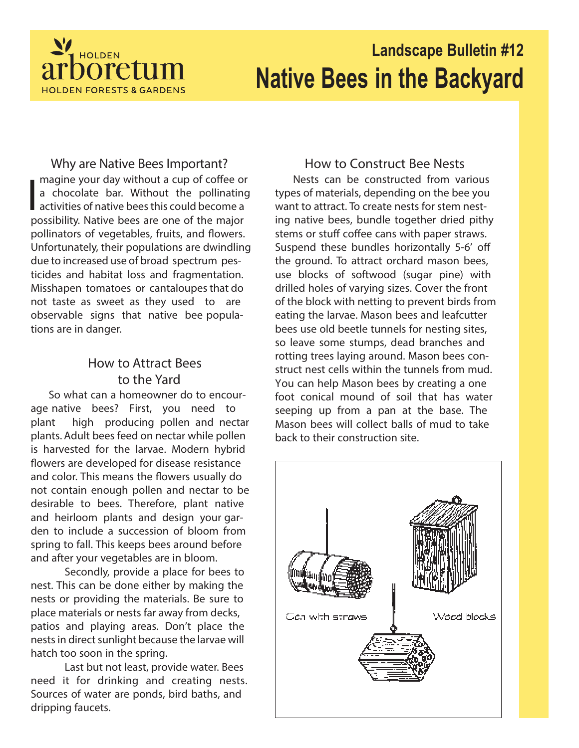

# **Landscape Bulletin #12 Native Bees in the Backyard**

## **Why are Native Bees Important?**

I magine your day without a cup of coffee or a chocolate bar. Without the pollinating activities of native bees this could become a possibility. Native bees are one of the major pollinators of vegetables, fruits, and flowers. Unfortunately, their populations are dwindling due to increased use of broad spectrum pesticides and habitat loss and fragmentation. Misshapen tomatoes or cantaloupes that do not taste as sweet as they used to are observable signs that native bee populations are in danger.

# **How to Attract Bees to the Yard**

So what can a homeowner do to encourage native bees? First, you need to plant high producing pollen and nectar plants. Adult bees feed on nectar while pollen is harvested for the larvae. Modern hybrid flowers are developed for disease resistance and color. This means the flowers usually do not contain enough pollen and nectar to be desirable to bees. Therefore, plant native and heirloom plants and design your garden to include a succession of bloom from spring to fall. This keeps bees around before and after your vegetables are in bloom.

Secondly, provide a place for bees to nest. This can be done either by making the nests or providing the materials. Be sure to place materials or nests far away from decks, patios and playing areas. Don't place the nests in direct sunlight because the larvae will hatch too soon in the spring.

Last but not least, provide water. Bees need it for drinking and creating nests. Sources of water are ponds, bird baths, and dripping faucets.

## **How to Construct Bee Nests**

Nests can be constructed from various types of materials, depending on the bee you want to attract. To create nests for stem nesting native bees, bundle together dried pithy stems or stuff coffee cans with paper straws. Suspend these bundles horizontally 5-6' off the ground. To attract orchard mason bees, use blocks of softwood (sugar pine) with drilled holes of varying sizes. Cover the front of the block with netting to prevent birds from eating the larvae. Mason bees and leafcutter bees use old beetle tunnels for nesting sites, so leave some stumps, dead branches and rotting trees laying around. Mason bees construct nest cells within the tunnels from mud. You can help Mason bees by creating a one foot conical mound of soil that has water seeping up from a pan at the base. The Mason bees will collect balls of mud to take back to their construction site.